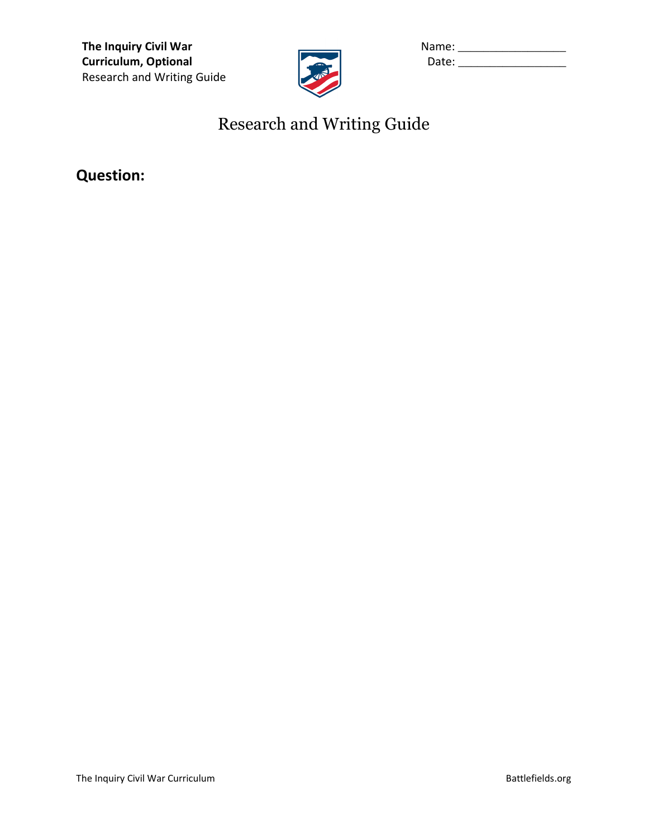**The Inquiry Civil War Curriculum, Optional** Research and Writing Guide



| Name: |  |
|-------|--|
| Date: |  |

# Research and Writing Guide

**Question:**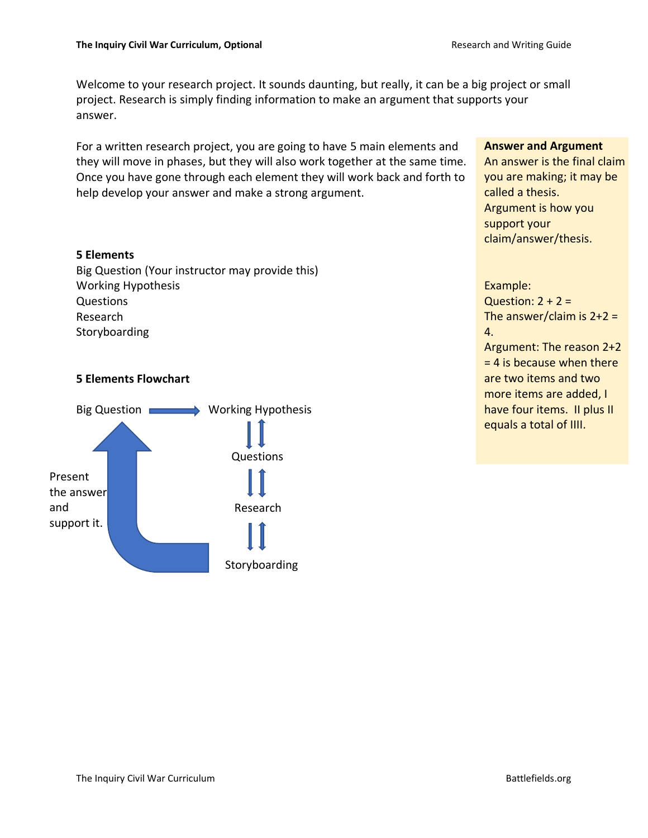Welcome to your research project. It sounds daunting, but really, it can be a big project or small project. Research is simply finding information to make an argument that supports your answer.

For a written research project, you are going to have 5 main elements and they will move in phases, but they will also work together at the same time. Once you have gone through each element they will work back and forth to help develop your answer and make a strong argument.

### **5 Elements**

Big Question (Your instructor may provide this) Working Hypothesis Questions Research Storyboarding

### **5 Elements Flowchart**



### **Answer and Argument**

An answer is the final claim you are making; it may be called a thesis. Argument is how you support your claim/answer/thesis.

Example: Question:  $2 + 2 =$ The answer/claim is  $2+2=$ 4. Argument: The reason 2+2  $= 4$  is because when there are two items and two more items are added, I have four items. II plus II equals a total of IIII.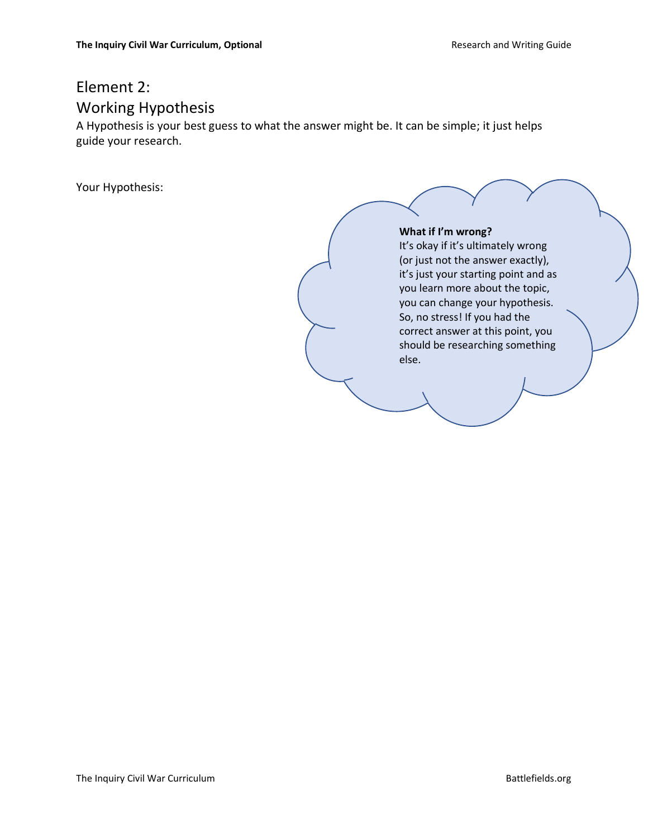# Element 2: Working Hypothesis

A Hypothesis is your best guess to what the answer might be. It can be simple; it just helps guide your research.

Your Hypothesis:

### **What if I'm wrong?**

It's okay if it's ultimately wrong (or just not the answer exactly), it's just your starting point and as you learn more about the topic, you can change your hypothesis. So, no stress! If you had the correct answer at this point, you should be researching something else.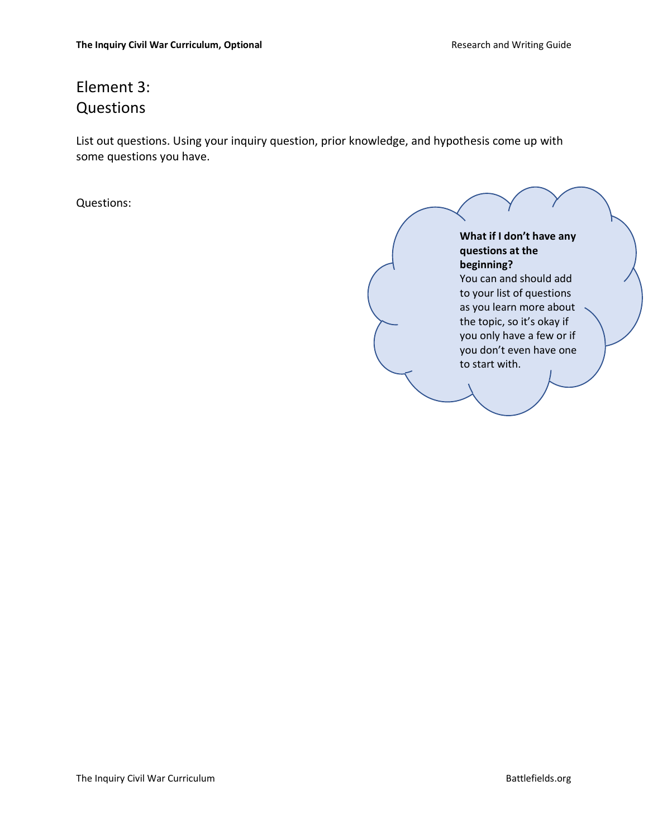# Element 3: Questions

List out questions. Using your inquiry question, prior knowledge, and hypothesis come up with some questions you have.

Questions:

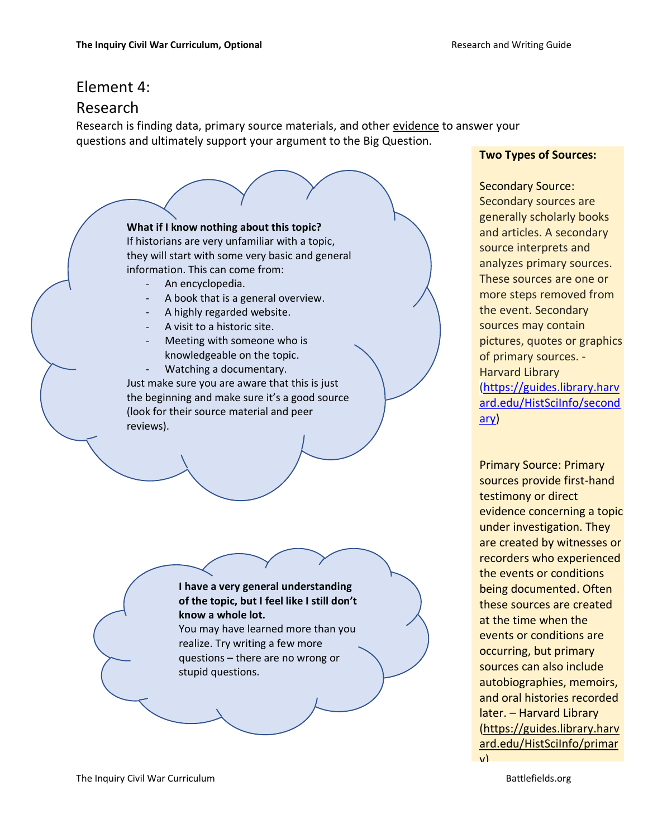## Element 4:

## Research

Research is finding data, primary source materials, and other evidence to answer your questions and ultimately support your argument to the Big Question.

## **What if I know nothing about this topic?**

If historians are very unfamiliar with a topic, they will start with some very basic and general information. This can come from:

- An encyclopedia.
- A book that is a general overview.
- A highly regarded website.
- A visit to a historic site.
- Meeting with someone who is knowledgeable on the topic.
- Watching a documentary.

Just make sure you are aware that this is just the beginning and make sure it's a good source (look for their source material and peer reviews).

> **I have a very general understanding of the topic, but I feel like I still don't know a whole lot.** You may have learned more than you realize. Try writing a few more questions – there are no wrong or stupid questions.

### **Two Types of Sources:**

Secondary Source: Secondary sources are generally scholarly books and articles. A secondary source interprets and analyzes primary sources. These sources are one or more steps removed from the event. Secondary sources may contain pictures, quotes or graphics of primary sources. - Harvard Library [\(https://guides.library.harv](https://guides.library.harvard.edu/HistSciInfo/secondary) [ard.edu/HistSciInfo/second](https://guides.library.harvard.edu/HistSciInfo/secondary) [ary\)](https://guides.library.harvard.edu/HistSciInfo/secondary)

Primary Source: Primary sources provide first-hand testimony or direct evidence concerning a topic under investigation. They are created by witnesses or recorders who experienced the events or conditions being documented. Often these sources are created at the time when the events or conditions are occurring, but primary sources can also include autobiographies, memoirs, and oral histories recorded later. – Harvard Library [\(https://guides.library.harv](https://guides.library.harvard.edu/HistSciInfo/primary) [ard.edu/HistSciInfo/primar](https://guides.library.harvard.edu/HistSciInfo/primary)  $\mathbf{v}$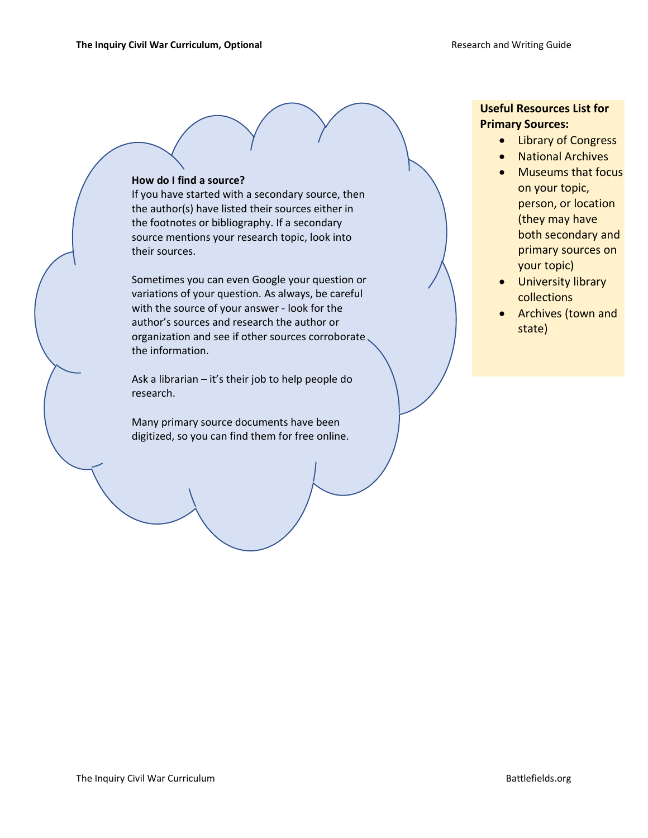#### **How do I find a source?**

If you have started with a secondary source, then the author(s) have listed their sources either in the footnotes or bibliography. If a secondary source mentions your research topic, look into their sources.

Sometimes you can even Google your question or variations of your question. As always, be careful with the source of your answer - look for the author's sources and research the author or organization and see if other sources corroborate the information.

Ask a librarian – it's their job to help people do research.

Many primary source documents have been digitized, so you can find them for free online.

### **Useful Resources List for Primary Sources:**

- Library of Congress
- National Archives
- Museums that focus on your topic, person, or location (they may have both secondary and primary sources on your topic)
- University library collections
- Archives (town and state)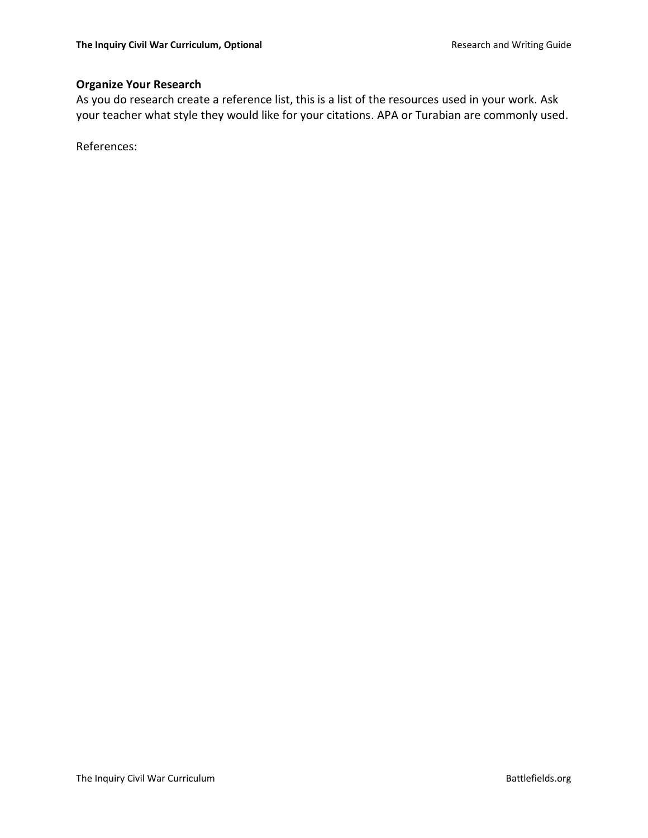## **Organize Your Research**

As you do research create a reference list, this is a list of the resources used in your work. Ask your teacher what style they would like for your citations. APA or Turabian are commonly used.

References: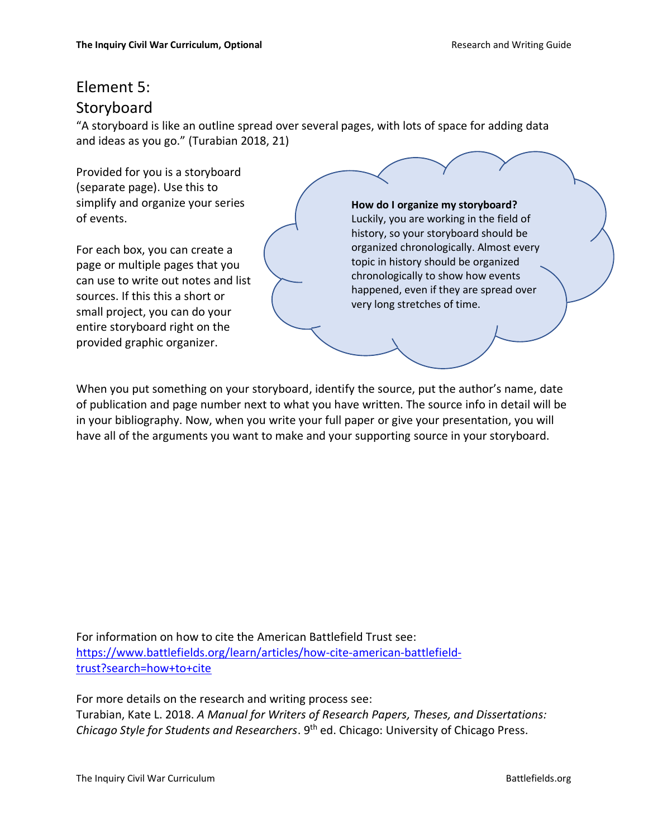## Element 5: **Storyboard**

"A storyboard is like an outline spread over several pages, with lots of space for adding data and ideas as you go." (Turabian 2018, 21)

Provided for you is a storyboard (separate page). Use this to simplify and organize your series of events.

For each box, you can create a page or multiple pages that you can use to write out notes and list sources. If this this a short or small project, you can do your entire storyboard right on the provided graphic organizer.

#### **How do I organize my storyboard?**

Luckily, you are working in the field of history, so your storyboard should be organized chronologically. Almost every topic in history should be organized chronologically to show how events happened, even if they are spread over very long stretches of time.

When you put something on your storyboard, identify the source, put the author's name, date of publication and page number next to what you have written. The source info in detail will be in your bibliography. Now, when you write your full paper or give your presentation, you will have all of the arguments you want to make and your supporting source in your storyboard.

For information on how to cite the American Battlefield Trust see: [https://www.battlefields.org/learn/articles/how-cite-american-battlefield](https://www.battlefields.org/learn/articles/how-cite-american-battlefield-trust?search=how+to+cite)[trust?search=how+to+cite](https://www.battlefields.org/learn/articles/how-cite-american-battlefield-trust?search=how+to+cite)

For more details on the research and writing process see: Turabian, Kate L. 2018. *A Manual for Writers of Research Papers, Theses, and Dissertations: Chicago Style for Students and Researchers*. 9th ed. Chicago: University of Chicago Press.